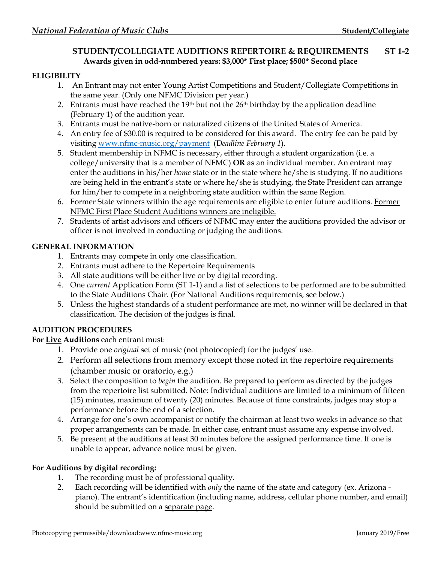# **STUDENT/COLLEGIATE AUDITIONS REPERTOIRE & REQUIREMENTS ST 1-2 Awards given in odd-numbered years: \$3,000\* First place; \$500\* Second place**

## **ELIGIBILITY**

- 1. An Entrant may not enter Young Artist Competitions and Student/Collegiate Competitions in the same year. (Only one NFMC Division per year.)
- 2. Entrants must have reached the 19th but not the 26th birthday by the application deadline (February 1) of the audition year.
- 3. Entrants must be native-born or naturalized citizens of the United States of America.
- 4. An entry fee of \$30.00 is required to be considered for this award. The entry fee can be paid by visiting [www.nfmc-music.org/payment](http://www.nfmc-music.org/payment) (D*eadline February 1*).
- 5. Student membership in NFMC is necessary, either through a student organization (i.e. a college/university that is a member of NFMC) **OR** as an individual member. An entrant may enter the auditions in his/her *home* state or in the state where he/she is studying. If no auditions are being held in the entrant's state or where he/she is studying, the State President can arrange for him/her to compete in a neighboring state audition within the same Region.
- 6. Former State winners within the age requirements are eligible to enter future auditions. Former NFMC First Place Student Auditions winners are ineligible.
- 7. Students of artist advisors and officers of NFMC may enter the auditions provided the advisor or officer is not involved in conducting or judging the auditions.

## **GENERAL INFORMATION**

- 1. Entrants may compete in only one classification.
- 2. Entrants must adhere to the Repertoire Requirements
- 3. All state auditions will be either live or by digital recording.
- 4. One *current* Application Form (ST 1-1) and a list of selections to be performed are to be submitted to the State Auditions Chair. (For National Auditions requirements, see below.)
- 5. Unless the highest standards of a student performance are met, no winner will be declared in that classification. The decision of the judges is final.

## **AUDITION PROCEDURES**

## **For Live Auditions** each entrant must:

- 1. Provide one *original* set of music (not photocopied) for the judges' use.
- 2. Perform all selections from memory except those noted in the repertoire requirements (chamber music or oratorio, e.g.)
- 3. Select the composition to *begin* the audition. Be prepared to perform as directed by the judges from the repertoire list submitted. Note: Individual auditions are limited to a minimum of fifteen (15) minutes, maximum of twenty (20) minutes. Because of time constraints, judges may stop a performance before the end of a selection.
- 4. Arrange for one's own accompanist or notify the chairman at least two weeks in advance so that proper arrangements can be made. In either case, entrant must assume any expense involved.
- 5. Be present at the auditions at least 30 minutes before the assigned performance time. If one is unable to appear, advance notice must be given.

## **For Auditions by digital recording:**

- 1. The recording must be of professional quality.
- 2. Each recording will be identified with *only* the name of the state and category (ex. Arizona piano). The entrant's identification (including name, address, cellular phone number, and email) should be submitted on a separate page.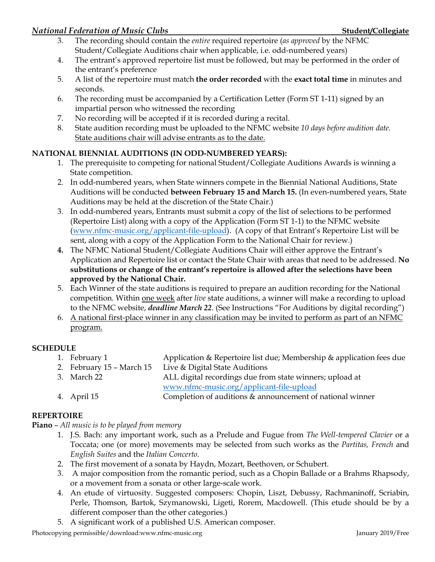- 3. The recording should contain the *entire* required repertoire (*as approved* by the NFMC Student/Collegiate Auditions chair when applicable, i.e. odd-numbered years)
- 4. The entrant's approved repertoire list must be followed, but may be performed in the order of the entrant's preference
- 5. A list of the repertoire must match **the order recorded** with the **exact total time** in minutes and seconds.
- 6. The recording must be accompanied by a Certification Letter (Form ST 1-11) signed by an impartial person who witnessed the recording
- 7. No recording will be accepted if it is recorded during a recital.
- 8. State audition recording must be uploaded to the NFMC website *10 days before audition date.* State auditions chair will advise entrants as to the date.

# **NATIONAL BIENNIAL AUDITIONS (IN ODD-NUMBERED YEARS):**

- 1. The prerequisite to competing for national Student/Collegiate Auditions Awards is winning a State competition.
- 2. In odd-numbered years, when State winners compete in the Biennial National Auditions, State Auditions will be conducted **between February 15 and March 15.** (In even-numbered years, State Auditions may be held at the discretion of the State Chair.)
- 3. In odd-numbered years, Entrants must submit a copy of the list of selections to be performed (Repertoire List) along with a copy of the Application (Form ST 1-1) to the NFMC website [\(www.nfmc-music.org/applicant-file-upload\)](http://www.nfmc-music.org/applicant-file-upload). (A copy of that Entrant's Repertoire List will be sent, along with a copy of the Application Form to the National Chair for review.)
- **4.** The NFMC National Student/Collegiate Auditions Chair will either approve the Entrant's Application and Repertoire list or contact the State Chair with areas that need to be addressed. **No substitutions or change of the entrant's repertoire is allowed after the selections have been approved by the National Chair.**
- 5. Each Winner of the state auditions is required to prepare an audition recording for the National competition. Within one week after *live* state auditions, a winner will make a recording to upload to the NFMC website, *deadline March 22*. (See Instructions "For Auditions by digital recording")
- 6. A national first-place winner in any classification may be invited to perform as part of an NFMC program.

# **SCHEDULE**

- 1. February 1 Application & Repertoire list due; Membership & application fees due
- 2. February 15 March 15 Live & Digital State Auditions
- 3. March 22 ALL digital recordings due from state winners; upload at [www.nfmc-music.org/applicant-file-upload](http://www.nfmc-music.org/applicant-file-upload)
- 4. April 15 Completion of auditions & announcement of national winner

# **REPERTOIRE**

## **Piano** – *All music is to be played from memory*

- 1. J.S. Bach: any important work, such as a Prelude and Fugue from *The Well-tempered Clavier* or a Toccata; one (or more) movements may be selected from such works as the *Partitas, French* and *English Suites* and the *Italian Concerto*.
- 2. The first movement of a sonata by Haydn, Mozart, Beethoven, or Schubert.
- 3. A major composition from the romantic period, such as a Chopin Ballade or a Brahms Rhapsody, or a movement from a sonata or other large-scale work.
- 4. An etude of virtuosity. Suggested composers: Chopin, Liszt, Debussy, Rachmaninoff, Scriabin, Perle, Thomson, Bartok, Szymanowski, Ligeti, Rorem, Macdowell. (This etude should be by a different composer than the other categories.)
- 5. A significant work of a published U.S. American composer.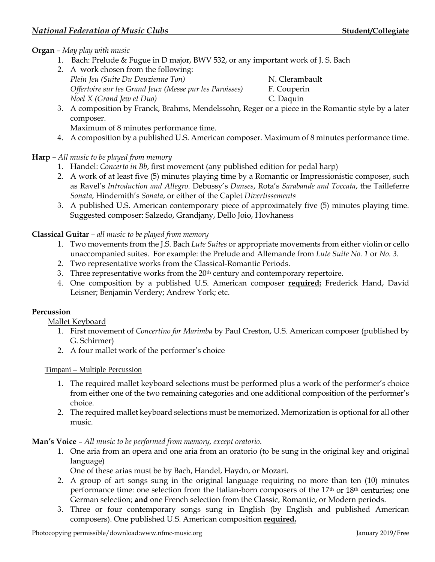## **Organ** – *May play with music*

- 1. Bach: Prelude & Fugue in D major, BWV 532, or any important work of J. S. Bach
- 2. A work chosen from the following: *Plein Jeu (Suite Du Deuzienne Ton)* N. Clerambault *Offertoire sur les Grand Jeux (Messe pur les Paroisses)* F. Couperin *Noel X (Grand Jew et Duo)* C. Daquin

3. A composition by Franck, Brahms, Mendelssohn, Reger or a piece in the Romantic style by a later composer.

Maximum of 8 minutes performance time.

4. A composition by a published U.S. American composer. Maximum of 8 minutes performance time.

## **Harp** – *All music to be played from memory*

- 1. Handel: *Concerto in Bb*, first movement (any published edition for pedal harp)
- 2. A work of at least five (5) minutes playing time by a Romantic or Impressionistic composer, such as Ravel's *Introduction and Allegro*. Debussy's *Danses*, Rota's *Sarabande and Toccata*, the Tailleferre *Sonata*, Hindemith's *Sonata*, or either of the Caplet *Divertissements*
- 3. A published U.S. American contemporary piece of approximately five (5) minutes playing time. Suggested composer: Salzedo, Grandjany, Dello Joio, Hovhaness

## **Classical Guitar** *– all music to be played from memory*

- 1. Two movements from the J.S. Bach *Lute Suites* or appropriate movements from either violin or cello unaccompanied suites. For example: the Prelude and Allemande from *Lute Suite No. 1* or *No. 3.*
- 2. Two representative works from the Classical-Romantic Periods.
- 3. Three representative works from the 20<sup>th</sup> century and contemporary repertoire.
- 4. One composition by a published U.S. American composer **required:** Frederick Hand, David Leisner; Benjamin Verdery; Andrew York; etc.

## **Percussion**

## Mallet Keyboard

- 1. First movement of *Concertino for Marimba* by Paul Creston, U.S. American composer (published by G. Schirmer)
- 2. A four mallet work of the performer's choice

## Timpani – Multiple Percussion

- 1. The required mallet keyboard selections must be performed plus a work of the performer's choice from either one of the two remaining categories and one additional composition of the performer's choice.
- 2. The required mallet keyboard selections must be memorized. Memorization is optional for all other music.

#### **Man's Voice** – *All music to be performed from memory, except oratorio*.

- 1. One aria from an opera and one aria from an oratorio (to be sung in the original key and original language)
	- One of these arias must be by Bach, Handel, Haydn, or Mozart.
- 2. A group of art songs sung in the original language requiring no more than ten (10) minutes performance time: one selection from the Italian-born composers of the 17<sup>th</sup> or 18<sup>th</sup> centuries; one German selection; **and** one French selection from the Classic, Romantic, or Modern periods.
- 3. Three or four contemporary songs sung in English (by English and published American composers). One published U.S. American composition **required.**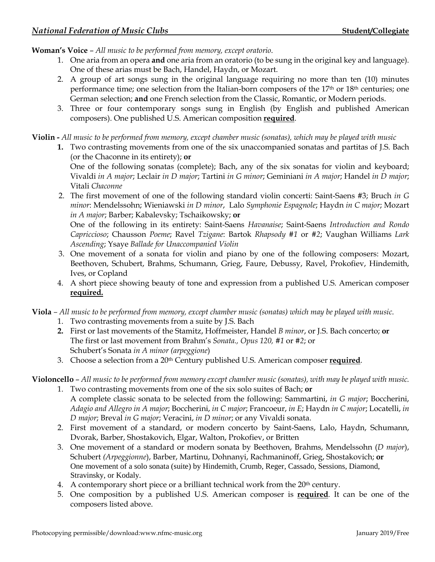**Woman's Voice** – *All music to be performed from memory, except oratorio*.

- 1. One aria from an opera **and** one aria from an oratorio (to be sung in the original key and language). One of these arias must be Bach, Handel, Haydn, or Mozart.
- 2. A group of art songs sung in the original language requiring no more than ten (10) minutes performance time; one selection from the Italian-born composers of the 17th or 18th centuries; one German selection; **and** one French selection from the Classic, Romantic, or Modern periods.
- 3. Three or four contemporary songs sung in English (by English and published American composers). One published U.S. American composition **required**.

**Violin -** *All music to be performed from memory, except chamber music (sonatas), which may be played with music*

**1.** Two contrasting movements from one of the six unaccompanied sonatas and partitas of J.S. Bach (or the Chaconne in its entirety); **or**  One of the following sonatas (complete); Bach, any of the six sonatas for violin and keyboard;

Vivaldi *in A major*; Leclair *in D major*; Tartini *in G minor*; Geminiani *in A major*; Handel *in D major*; Vitali *Chaconne*

2. The first movement of one of the following standard violin concerti: Saint-Saens #3; Bruch *in G minor*: Mendelssohn; Wieniawski *in D minor*, Lalo *Symphonie Espagnole*; Haydn *in C major*; Mozart *in A major*; Barber; Kabalevsky; Tschaikowsky; **or**

One of the following in its entirety: Saint-Saens *Havanaise*; Saint-Saens *Introduction and Rondo Capriccioso*; Chausson *Poeme*; Ravel *Tzigane*: Bartok *Rhapsody #1* or *#2*; Vaughan Williams *Lark Ascending*; Ysaye *Ballade for Unaccompanied Violin*

- 3. One movement of a sonata for violin and piano by one of the following composers: Mozart, Beethoven, Schubert, Brahms, Schumann, Grieg, Faure, Debussy, Ravel, Prokofiev, Hindemith, Ives, or Copland
- 4. A short piece showing beauty of tone and expression from a published U.S. American composer **required.**

**Viola** *– All music to be performed from memory, except chamber music (sonatas) which may be played with music*.

- 1. Two contrasting movements from a suite by J.S. Bach
- **2.** First or last movements of the Stamitz, Hoffmeister, Handel *B minor*, or J.S. Bach concerto; **or** The first or last movement from Brahm's *Sonata., Opus 120, #1* or *#2*; or Schubert's Sonata *in A minor (arpeggione*)
- 3. Choose a selection from a 20th Century published U.S. American composer **required**.

**Violoncello** – *All music to be performed from memory except chamber music (sonatas), with may be played with music.*

- 1. Two contrasting movements from one of the six solo suites of Bach; **or** A complete classic sonata to be selected from the following: Sammartini, *in G major*; Boccherini, *Adagio and Allegro in A major*; Boccherini, *in C major*; Francoeur, *in E*; Haydn *in C major*; Locatelli, *in D major*; Breval *in G major*; Veracini, *in D minor*; or any Vivaldi sonata.
- 2. First movement of a standard, or modern concerto by Saint-Saens, Lalo, Haydn, Schumann, Dvorak, Barber, Shostakovich, Elgar, Walton, Prokofiev, or Britten
- 3. One movement of a standard or modern sonata by Beethoven, Brahms, Mendelssohn (*D major*), Schubert *(Arpeggionne*), Barber, Martinu, Dohnanyi, Rachmaninoff, Grieg, Shostakovich; **or** One movement of a solo sonata (suite) by Hindemith, Crumb, Reger, Cassado, Sessions, Diamond, Stravinsky, or Kodaly.
- 4. A contemporary short piece or a brilliant technical work from the 20<sup>th</sup> century.
- 5. One composition by a published U.S. American composer is **required**. It can be one of the composers listed above.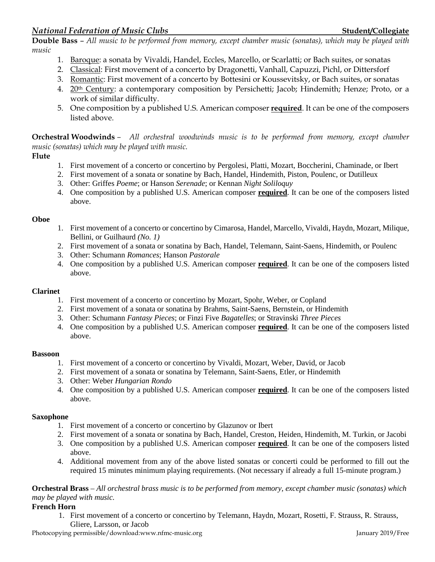**Double Bass** – *All music to be performed from memory, except chamber music (sonatas), which may be played with music*

- 1. Baroque: a sonata by Vivaldi, Handel, Eccles, Marcello, or Scarlatti; or Bach suites, or sonatas
- 2. Classical: First movement of a concerto by Dragonetti, Vanhall, Capuzzi, Pichl, or Dittersforf
- 3. Romantic: First movement of a concerto by Bottesini or Koussevitsky, or Bach suites, or sonatas
- 4. 20<sup>th</sup> Century: a contemporary composition by Persichetti; Jacob; Hindemith; Henze; Proto, or a work of similar difficulty.
- 5. One composition by a published U.S. American composer **required**. It can be one of the composers listed above.

**Orchestral Woodwinds** *– All orchestral woodwinds music is to be performed from memory, except chamber music (sonatas) which may be played with music.*

#### **Flute**

- 1. First movement of a concerto or concertino by Pergolesi, Platti, Mozart, Boccherini, Chaminade, or Ibert
- 2. First movement of a sonata or sonatine by Bach, Handel, Hindemith, Piston, Poulenc, or Dutilleux
- 3. Other: Griffes *Poeme*; or Hanson *Serenade*; or Kennan *Night Soliloquy*
- 4. One composition by a published U.S. American composer **required**. It can be one of the composers listed above.

#### **Oboe**

- 1. First movement of a concerto or concertino by Cimarosa, Handel, Marcello, Vivaldi, Haydn, Mozart, Milique, Bellini, or Guilhaurd *(No. 1)*
- 2. First movement of a sonata or sonatina by Bach, Handel, Telemann, Saint-Saens, Hindemith, or Poulenc
- 3. Other: Schumann *Romances*; Hanson *Pastorale*
- 4. One composition by a published U.S. American composer **required**. It can be one of the composers listed above.

## **Clarinet**

- 1. First movement of a concerto or concertino by Mozart, Spohr, Weber, or Copland
- 2. First movement of a sonata or sonatina by Brahms, Saint-Saens, Bernstein, or Hindemith
- 3. Other: Schumann *Fantasy Pieces*; or Finzi Five *Bagatelles*; or Stravinski *Three Pieces*
- 4. One composition by a published U.S. American composer **required**. It can be one of the composers listed above.

#### **Bassoon**

- 1. First movement of a concerto or concertino by Vivaldi, Mozart, Weber, David, or Jacob
- 2. First movement of a sonata or sonatina by Telemann, Saint-Saens, Etler, or Hindemith
- 3. Other: Weber *Hungarian Rondo*
- 4. One composition by a published U.S. American composer **required**. It can be one of the composers listed above.

#### **Saxophone**

- 1. First movement of a concerto or concertino by Glazunov or Ibert
- 2. First movement of a sonata or sonatina by Bach, Handel, Creston, Heiden, Hindemith, M. Turkin, or Jacobi
- 3. One composition by a published U.S. American composer **required**. It can be one of the composers listed above.
- 4. Additional movement from any of the above listed sonatas or concerti could be performed to fill out the required 15 minutes minimum playing requirements. (Not necessary if already a full 15-minute program.)

#### **Orchestral Brass** – *All orchestral brass music is to be performed from memory, except chamber music (sonatas) which may be played with music.*

#### **French Horn**

1. First movement of a concerto or concertino by Telemann, Haydn, Mozart, Rosetti, F. Strauss, R. Strauss, Gliere, Larsson, or Jacob